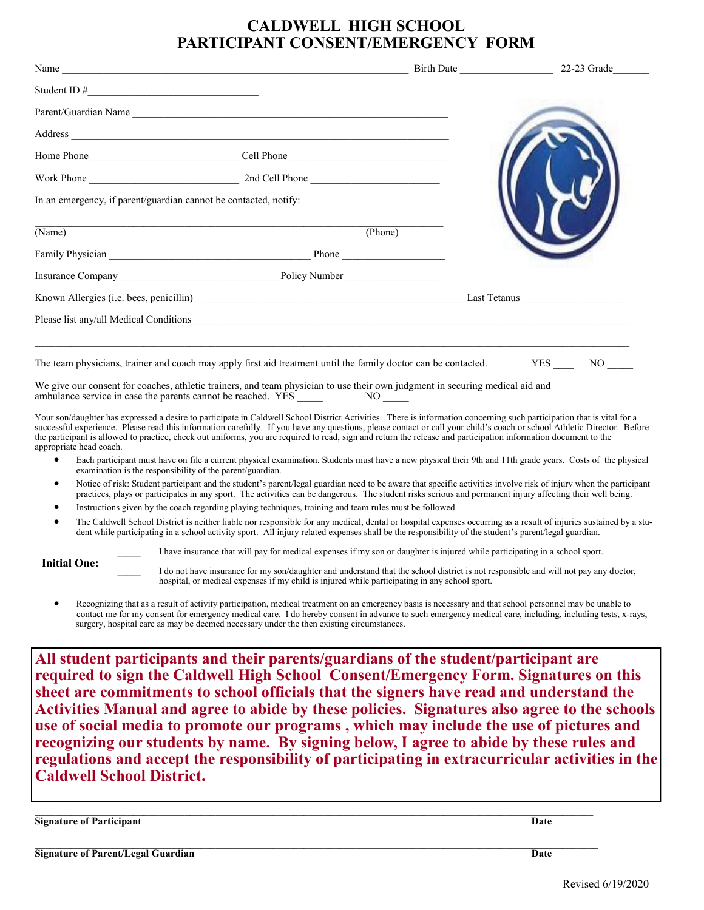## **CALDWELL HIGH SCHOOL PARTICIPANT CONSENT/EMERGENCY FORM**

|                                                                                                                                                                                                                                                                                                                                                                                                                                                                                                                                                 |         | Birth Date | $22-23$ Grade |  |
|-------------------------------------------------------------------------------------------------------------------------------------------------------------------------------------------------------------------------------------------------------------------------------------------------------------------------------------------------------------------------------------------------------------------------------------------------------------------------------------------------------------------------------------------------|---------|------------|---------------|--|
|                                                                                                                                                                                                                                                                                                                                                                                                                                                                                                                                                 |         |            |               |  |
| Parent/Guardian Name                                                                                                                                                                                                                                                                                                                                                                                                                                                                                                                            |         |            |               |  |
|                                                                                                                                                                                                                                                                                                                                                                                                                                                                                                                                                 |         |            |               |  |
| Home Phone _________________________________Cell Phone __________________________                                                                                                                                                                                                                                                                                                                                                                                                                                                               |         |            |               |  |
|                                                                                                                                                                                                                                                                                                                                                                                                                                                                                                                                                 |         |            |               |  |
| In an emergency, if parent/guardian cannot be contacted, notify:                                                                                                                                                                                                                                                                                                                                                                                                                                                                                |         |            |               |  |
| (Name)                                                                                                                                                                                                                                                                                                                                                                                                                                                                                                                                          | (Phone) |            |               |  |
|                                                                                                                                                                                                                                                                                                                                                                                                                                                                                                                                                 |         |            |               |  |
|                                                                                                                                                                                                                                                                                                                                                                                                                                                                                                                                                 |         |            |               |  |
|                                                                                                                                                                                                                                                                                                                                                                                                                                                                                                                                                 |         |            |               |  |
| Please list any/all Medical Conditions                                                                                                                                                                                                                                                                                                                                                                                                                                                                                                          |         |            |               |  |
| The team physicians, trainer and coach may apply first aid treatment until the family doctor can be contacted. YES NO                                                                                                                                                                                                                                                                                                                                                                                                                           |         |            |               |  |
| We give our consent for coaches, athletic trainers, and team physician to use their own judgment in securing medical aid and                                                                                                                                                                                                                                                                                                                                                                                                                    |         |            |               |  |
| Your son/daughter has expressed a desire to participate in Caldwell School District Activities. There is information concerning such participation that is vital for a<br>successful experience. Please read this information carefully. If you have any questions, please contact or call your child's coach or school Athletic Director. Before<br>the participant is allowed to practice, check out uniforms, you are required to read, sign and return the release and participation information document to the<br>appropriate head coach. |         |            |               |  |

- Each participant must have on file a current physical examination. Students must have a new physical their 9th and 11th grade years. Costs of the physical examination is the responsibility of the parent/guardian.
- Notice of risk: Student participant and the student's parent/legal guardian need to be aware that specific activities involve risk of injury when the participant practices, plays or participates in any sport. The activities can be dangerous. The student risks serious and permanent injury affecting their well being.
- Instructions given by the coach regarding playing techniques, training and team rules must be followed.
- The Caldwell School District is neither liable nor responsible for any medical, dental or hospital expenses occurring as a result of injuries sustained by a student while participating in a school activity sport. All injury related expenses shall be the responsibility of the student's parent/legal guardian.

**Initial One:**

I have insurance that will pay for medical expenses if my son or daughter is injured while participating in a school sport.

I do not have insurance for my son/daughter and understand that the school district is not responsible and will not pay any doctor, hospital, or medical expenses if my child is injured while participating in any school sport.

 Recognizing that as a result of activity participation, medical treatment on an emergency basis is necessary and that school personnel may be unable to contact me for my consent for emergency medical care. I do hereby consent in advance to such emergency medical care, including, including tests, x-rays, surgery, hospital care as may be deemed necessary under the then existing circumstances.

**All student participants and their parents/guardians of the student/participant are required to sign the Caldwell High School Consent/Emergency Form. Signatures on this sheet are commitments to school officials that the signers have read and understand the Activities Manual and agree to abide by these policies. Signatures also agree to the schools use of social media to promote our programs , which may include the use of pictures and recognizing our students by name. By signing below, I agree to abide by these rules and regulations and accept the responsibility of participating in extracurricular activities in the Caldwell School District.**

**Signature of Participant Date**

**Signature of Parent/Legal Guardian Date**

**\_\_\_\_\_\_\_\_\_\_\_\_\_\_\_\_\_\_\_\_\_\_\_\_\_\_\_\_\_\_\_\_\_\_\_\_\_\_\_\_\_\_\_\_\_\_\_\_\_\_\_\_\_\_\_\_\_\_\_\_\_\_\_\_\_\_\_\_\_\_\_\_\_\_\_\_\_\_\_\_\_\_\_\_\_\_\_\_\_\_\_\_\_\_\_\_\_\_\_\_\_\_\_\_\_\_\_\_\_**